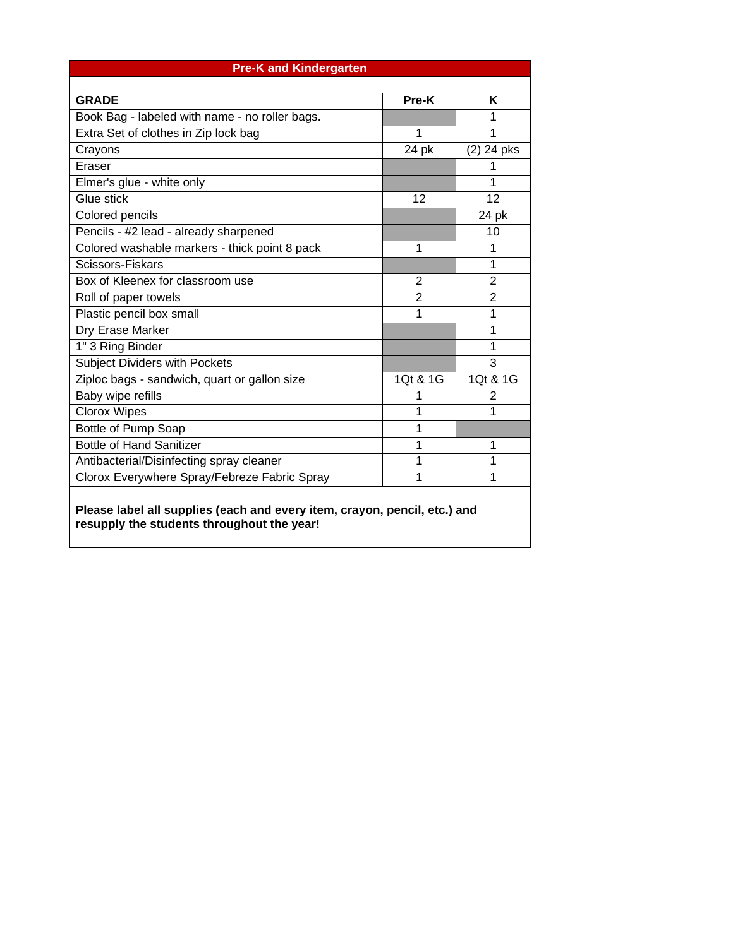| <b>Pre-K and Kindergarten</b>                                                                                           |                |                |  |  |  |  |  |  |
|-------------------------------------------------------------------------------------------------------------------------|----------------|----------------|--|--|--|--|--|--|
|                                                                                                                         |                |                |  |  |  |  |  |  |
| <b>GRADE</b>                                                                                                            | Pre-K          | K              |  |  |  |  |  |  |
| Book Bag - labeled with name - no roller bags.                                                                          |                | 1              |  |  |  |  |  |  |
| Extra Set of clothes in Zip lock bag                                                                                    | 1              | 1              |  |  |  |  |  |  |
| Crayons                                                                                                                 | 24 pk          | $(2)$ 24 pks   |  |  |  |  |  |  |
| Eraser                                                                                                                  |                | 1              |  |  |  |  |  |  |
| Elmer's glue - white only                                                                                               |                | 1              |  |  |  |  |  |  |
| Glue stick                                                                                                              | 12             | 12             |  |  |  |  |  |  |
| Colored pencils                                                                                                         |                | 24 pk          |  |  |  |  |  |  |
| Pencils - #2 lead - already sharpened                                                                                   |                | 10             |  |  |  |  |  |  |
| Colored washable markers - thick point 8 pack                                                                           | 1              | 1              |  |  |  |  |  |  |
| Scissors-Fiskars                                                                                                        |                | 1              |  |  |  |  |  |  |
| Box of Kleenex for classroom use                                                                                        | $\overline{2}$ | $\overline{2}$ |  |  |  |  |  |  |
| Roll of paper towels                                                                                                    | $\overline{2}$ | $\overline{2}$ |  |  |  |  |  |  |
| Plastic pencil box small                                                                                                | 1              | 1              |  |  |  |  |  |  |
| Dry Erase Marker                                                                                                        |                | 1              |  |  |  |  |  |  |
| 1" 3 Ring Binder                                                                                                        |                | 1              |  |  |  |  |  |  |
| <b>Subject Dividers with Pockets</b>                                                                                    |                | 3              |  |  |  |  |  |  |
| Ziploc bags - sandwich, quart or gallon size                                                                            | 1Qt & 1G       | 1Qt & 1G       |  |  |  |  |  |  |
| Baby wipe refills                                                                                                       | 1              | 2              |  |  |  |  |  |  |
| <b>Clorox Wipes</b>                                                                                                     | 1              | 1              |  |  |  |  |  |  |
| Bottle of Pump Soap                                                                                                     | 1              |                |  |  |  |  |  |  |
| <b>Bottle of Hand Sanitizer</b>                                                                                         | 1              | 1              |  |  |  |  |  |  |
| Antibacterial/Disinfecting spray cleaner                                                                                | 1              | 1              |  |  |  |  |  |  |
| Clorox Everywhere Spray/Febreze Fabric Spray                                                                            | 1              | 1              |  |  |  |  |  |  |
|                                                                                                                         |                |                |  |  |  |  |  |  |
| Please label all supplies (each and every item, crayon, pencil, etc.) and<br>resupply the students throughout the year! |                |                |  |  |  |  |  |  |